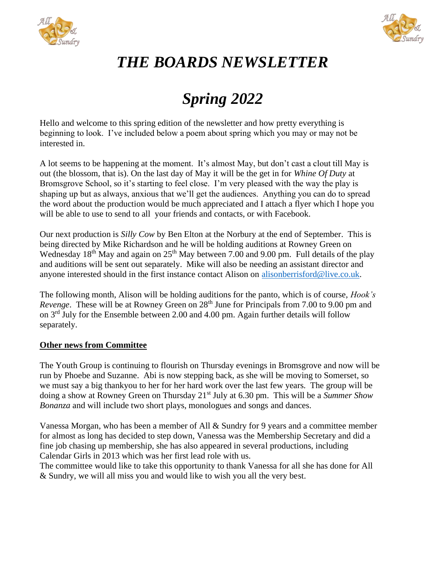



## *THE BOARDS NEWSLETTER*

## *Spring 2022*

Hello and welcome to this spring edition of the newsletter and how pretty everything is beginning to look. I've included below a poem about spring which you may or may not be interested in.

A lot seems to be happening at the moment. It's almost May, but don't cast a clout till May is out (the blossom, that is). On the last day of May it will be the get in for *Whine Of Duty* at Bromsgrove School, so it's starting to feel close. I'm very pleased with the way the play is shaping up but as always, anxious that we'll get the audiences. Anything you can do to spread the word about the production would be much appreciated and I attach a flyer which I hope you will be able to use to send to all your friends and contacts, or with Facebook.

Our next production is *Silly Cow* by Ben Elton at the Norbury at the end of September. This is being directed by Mike Richardson and he will be holding auditions at Rowney Green on Wednesday 18<sup>th</sup> May and again on 25<sup>th</sup> May between 7.00 and 9.00 pm. Full details of the play and auditions will be sent out separately. Mike will also be needing an assistant director and anyone interested should in the first instance contact Alison on [alisonberrisford@live.co.uk.](mailto:alisonberrisford@live.co.uk)

The following month, Alison will be holding auditions for the panto, which is of course, *Hook's Revenge.* These will be at Rowney Green on 28<sup>th</sup> June for Principals from 7.00 to 9.00 pm and on 3rd July for the Ensemble between 2.00 and 4.00 pm. Again further details will follow separately.

## **Other news from Committee**

The Youth Group is continuing to flourish on Thursday evenings in Bromsgrove and now will be run by Phoebe and Suzanne. Abi is now stepping back, as she will be moving to Somerset, so we must say a big thankyou to her for her hard work over the last few years. The group will be doing a show at Rowney Green on Thursday 21st July at 6.30 pm. This will be a *Summer Show Bonanza* and will include two short plays, monologues and songs and dances.

Vanessa Morgan, who has been a member of All & Sundry for 9 years and a committee member for almost as long has decided to step down, Vanessa was the Membership Secretary and did a fine job chasing up membership, she has also appeared in several productions, including Calendar Girls in 2013 which was her first lead role with us.

The committee would like to take this opportunity to thank Vanessa for all she has done for All & Sundry, we will all miss you and would like to wish you all the very best.